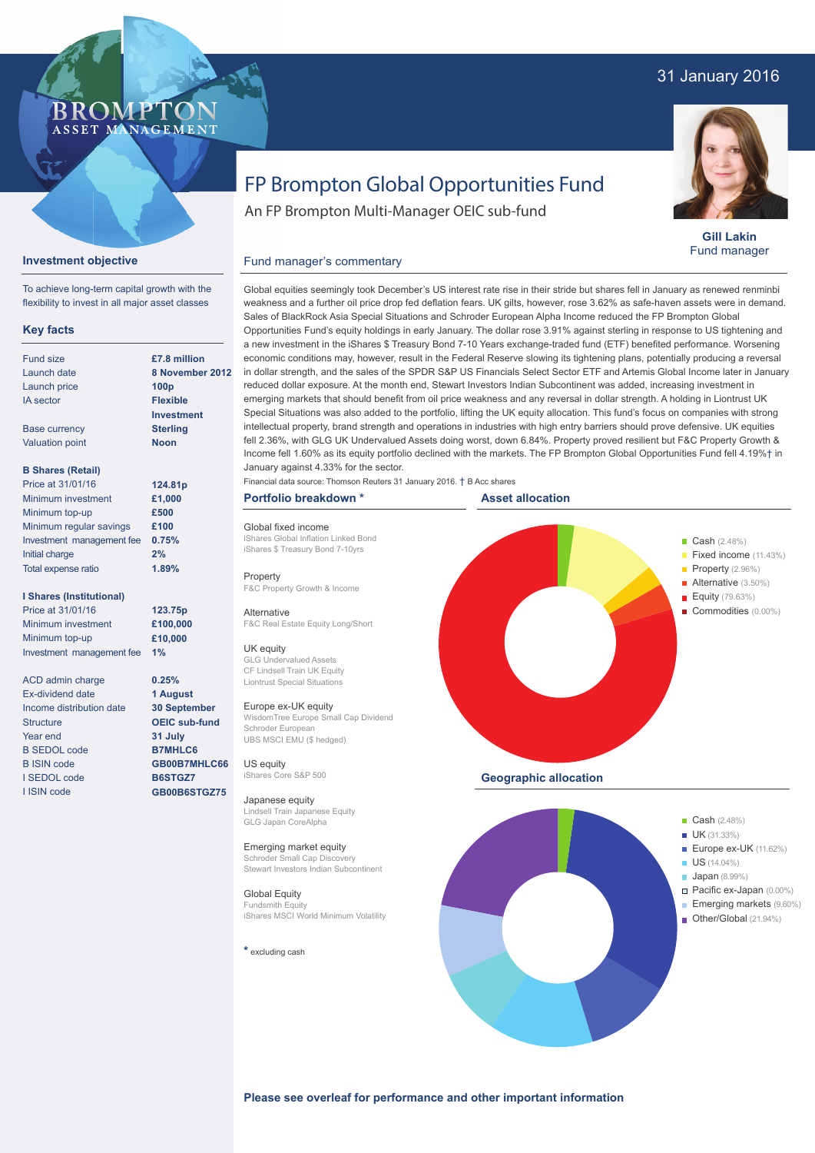# 31 January 2016



**Gill Lakin** Fund manager

# FP Brompton Global Opportunities Fund

An FP Brompton Multi-Manager OEIC sub-fund

# **Investment objective**

BROMP

ASSET MANAGEMENT

To achieve long-term capital growth with the flexibility to invest in all major asset classes

# **Key facts**

| <b>Fund size</b>           | £7.8 million     |
|----------------------------|------------------|
| Launch date                | 8 November       |
| Launch price               | 100 <sub>p</sub> |
| <b>IA</b> sector           | <b>Flexible</b>  |
|                            | Investment       |
| <b>Base currency</b>       | <b>Sterling</b>  |
| <b>Valuation point</b>     | Noon             |
|                            |                  |
| <b>B Shares (Retail)</b>   |                  |
| Price at 31/01/16          | 124.81p          |
| Minimum investment         | £1,000           |
| Minimum top-up             | £500             |
| Minimum regular savings    | £100             |
| Investment management fee  | 0.75%            |
| Initial charge             | $2\%$            |
| <b>Total expense ratio</b> | 1.89%            |

### **I Shares (Institutional)**

Price at 31/01/16 Minimum investment Minimum top-up Investment management fee **1%**

**123.75p £100,000 £10,000**

**0.25% 1 August 30 September OEIC sub-fund 31 July B7MHLC6 GB00B7MHLC66 B6STGZ7 GB00B6STGZ75**

ACD admin charge Ex-dividend date Income distribution date **Structure** Year end B SEDOL code B ISIN code I SEDOL code I ISIN code

**ber 2012** weakness and a further oil price drop fed deflation fears. UK gilts, however, rose 3.62% as safe-haven assets were in demand. Sales of BlackRock Asia Special Situations and Schroder European Alpha Income reduced the FP Brompton Global Opportunities Fund's equity holdings in early January. The dollar rose 3.91% against sterling in response to US tightening and a new investment in the iShares \$ Treasury Bond 7-10 Years exchange-traded fund (ETF) benefited performance. Worsening economic conditions may, however, result in the Federal Reserve slowing its tightening plans, potentially producing a reversal in dollar strength, and the sales of the SPDR S&P US Financials Select Sector ETF and Artemis Global Income later in January reduced dollar exposure. At the month end, Stewart Investors Indian Subcontinent was added, increasing investment in emerging markets that should benefit from oil price weakness and any reversal in dollar strength. A holding in Liontrust UK Special Situations was also added to the portfolio, lifting the UK equity allocation. This fund's focus on companies with strong intellectual property, brand strength and operations in industries with high entry barriers should prove defensive. UK equities fell 2.36%, with GLG UK Undervalued Assets doing worst, down 6.84%. Property proved resilient but F&C Property Growth & Income fell 1.60% as its equity portfolio declined with the markets. The FP Brompton Global Opportunities Fund fell 4.19%† in January against 4.33% for the sector.

Global equities seemingly took December's US interest rate rise in their stride but shares fell in January as renewed renminbi

Financial data source: Thomson Reuters 31 January 2016. † B Acc shares

### **Portfolio breakdown \***

Global fixed income iShares Global Inflation Linked Bond iShares \$ Treasury Bond 7-10yrs

Fund manager's commentary

Property F&C Property Growth & Income

**Alternative** F&C Real Estate Equity Long/Short

### UK equity

GLG Undervalued Assets CF Lindsell Train UK Equity Liontrust Special Situations

# Europe ex-UK equity

WisdomTree Europe Small Cap Dividend Schroder European UBS MSCI EMU (\$ hedged)

US equity iShares Core S&P 500

Japanese equity Lindsell Train Japanese Equity GLG Japan CoreAlpha

### Emerging market equity

Schroder Small Cap Discovery Stewart Investors Indian Subcontinent

# Global Equity Fundsmith Equity iShares MSCI World Minimum Volatility

**\*** excluding cash





**Please see overleaf for performance and other important information**